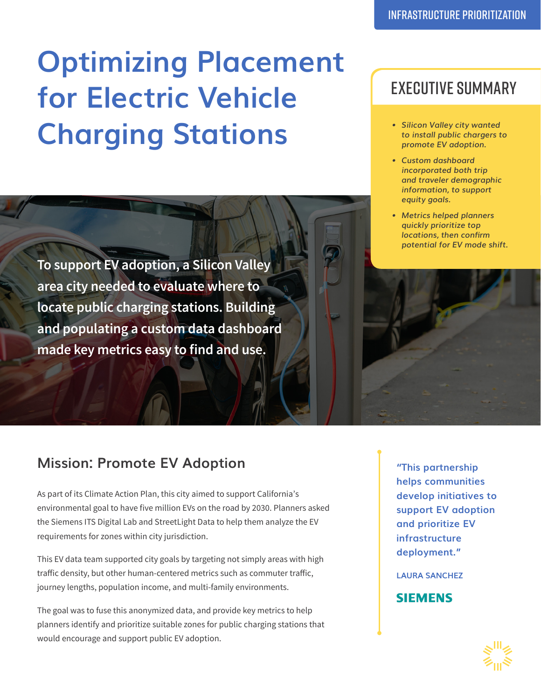# **Optimizing Placement for Electric Vehicle Charging Stations**

**To support EV adoption, a Silicon Valley area city needed to evaluate where to locate public charging stations. Building and populating a custom data dashboard made key metrics easy to find and use.**

### **Mission: Promote EV Adoption**

As part of its Climate Action Plan, this city aimed to support California's environmental goal to have five million EVs on the road by 2030. Planners asked the Siemens ITS Digital Lab and StreetLight Data to help them analyze the EV requirements for zones within city jurisdiction.

This EV data team supported city goals by targeting not simply areas with high traffic density, but other human-centered metrics such as commuter traffic, journey lengths, population income, and multi-family environments.

The goal was to fuse this anonymized data, and provide key metrics to help planners identify and prioritize suitable zones for public charging stations that would encourage and support public EV adoption.

## EXECUTIVE SUMMARY

- *• Silicon Valley city wanted to install public chargers to promote EV adoption.*
- *• Custom dashboard incorporated both trip and traveler demographic information, to support equity goals.*
- *• Metrics helped planners quickly prioritize top locations, then confirm potential for EV mode shift.*



**"This partnership helps communities develop initiatives to support EV adoption and prioritize EV infrastructure deployment."** 

**LAURA SANCHEZ** 

#### **SIEMENS**